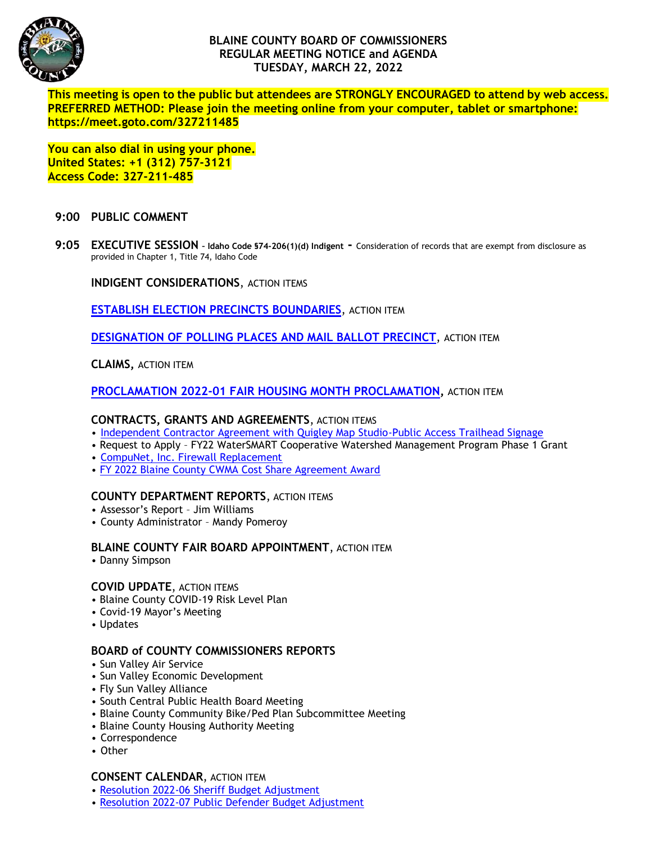

# **BLAINE COUNTY BOARD OF COMMISSIONERS REGULAR MEETING NOTICE and AGENDA TUESDAY, MARCH 22, 2022**

**This meeting is open to the public but attendees are STRONGLY ENCOURAGED to attend by web access. PREFERRED METHOD: Please join the meeting online from your computer, tablet or smartphone: https://meet.goto.com/327211485**

**You can also dial in using your phone. United States: +1 (312) 757-3121 Access Code: 327-211-485**

# **9:00 PUBLIC COMMENT**

**9:05 EXECUTIVE SESSION – Idaho Code §74-206(1)(d) Indigent -** Consideration of records that are exempt from disclosure as provided in Chapter 1, Title 74, Idaho Code

**INDIGENT CONSIDERATIONS**, ACTION ITEMS

**[ESTABLISH ELECTION PRECINCTS](https://www.co.blaine.id.us/DocumentCenter/View/18224/Precinct-Boundaries) BOUNDARIES**, ACTION ITEM

**[DESIGNATION OF POLLING PLACES AND MAIL BALLOT PRECINCT](https://www.co.blaine.id.us/DocumentCenter/View/18223/Polling-Places-List-May-2022)**, ACTION ITEM

## **CLAIMS,** ACTION ITEM

**PROCLAMATION 2022-01 [FAIR HOUSING MONTH PROCLAMATION,](https://www.co.blaine.id.us/DocumentCenter/View/18220/Proclamation-2022-01)** ACTION ITEM

#### **CONTRACTS, GRANTS AND AGREEMENTS**, ACTION ITEMS

- [Independent Contractor Agreement with Quigley Map Studio-Public Access Trailhead Signage](https://www.co.blaine.id.us/DocumentCenter/View/18211/Quigley-Map-Studio-final)
- Request to Apply FY22 WaterSMART Cooperative Watershed Management Program Phase 1 Grant
- [CompuNet, Inc. Firewall Replacement](https://www.co.blaine.id.us/DocumentCenter/View/18191/Firewall-Replacements)
- [FY 2022 Blaine County CWMA Cost Share Agreement Award](https://www.co.blaine.id.us/DocumentCenter/View/18215/BLAINE-CWMA-State-Award-Letter-2022)

## **COUNTY DEPARTMENT REPORTS**, ACTION ITEMS

- Assessor's Report Jim Williams
- County Administrator Mandy Pomeroy

# **BLAINE COUNTY FAIR BOARD APPOINTMENT**, ACTION ITEM

• Danny Simpson

#### **COVID UPDATE**, ACTION ITEMS

- Blaine County COVID-19 Risk Level Plan
- Covid-19 Mayor's Meeting
- Updates

#### **BOARD of COUNTY COMMISSIONERS REPORTS**

- Sun Valley Air Service
- Sun Valley Economic Development
- Fly Sun Valley Alliance
- South Central Public Health Board Meeting
- Blaine County Community Bike/Ped Plan Subcommittee Meeting
- Blaine County Housing Authority Meeting
- Correspondence
- Other

#### **CONSENT CALENDAR**, ACTION ITEM

- [Resolution 2022-06 Sheriff Budget Adjustment](https://www.co.blaine.id.us/DocumentCenter/View/18208/SheriffResMar2022)
- [Resolution 2022-07 Public Defender Budget Adjustment](https://www.co.blaine.id.us/DocumentCenter/View/18209/PublicDefenderResMar2022)